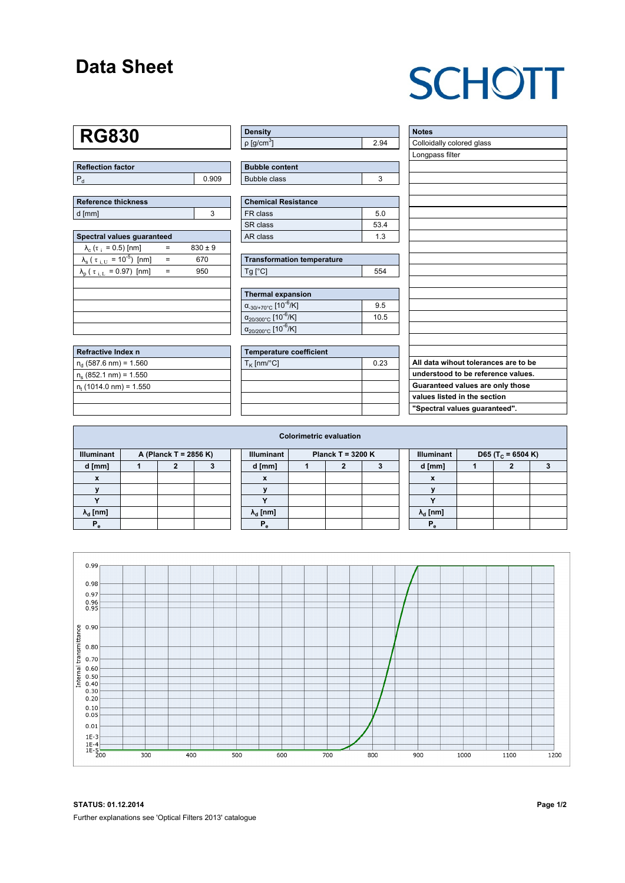### **Data Sheet**

# **SCHOTT**

### **RG830**

| Reflection factor |       |
|-------------------|-------|
|                   | 0.909 |

| <b>Reference thickness</b> |  |
|----------------------------|--|
| d [mm]                     |  |

| Spectral values quaranteed                                      |     |             |  |  |  |  |  |  |  |
|-----------------------------------------------------------------|-----|-------------|--|--|--|--|--|--|--|
| $\lambda_c$ ( $\tau_i$ = 0.5) [nm]                              |     | $830 \pm 9$ |  |  |  |  |  |  |  |
| $\lambda_{\rm s}$ ( $\tau_{\rm i, U}$ = 10 <sup>-5</sup> ) [nm] | $=$ | 670         |  |  |  |  |  |  |  |
| $\lambda_{\rm p}$ ( $\tau_{\rm i, L}$ = 0.97) [nm]              |     | 950         |  |  |  |  |  |  |  |
|                                                                 |     |             |  |  |  |  |  |  |  |
|                                                                 |     |             |  |  |  |  |  |  |  |
|                                                                 |     |             |  |  |  |  |  |  |  |
|                                                                 |     |             |  |  |  |  |  |  |  |
|                                                                 |     |             |  |  |  |  |  |  |  |

| Refractive Index n              |  |
|---------------------------------|--|
| $n_d$ (587.6 nm) = 1.560        |  |
| $n_s$ (852.1 nm) = 1.550        |  |
| $n_{\rm t}$ (1014.0 nm) = 1.550 |  |
|                                 |  |

| <b>Density</b>              |      |
|-----------------------------|------|
| $\rho$ [g/cm <sup>3</sup> ] | 2.04 |

| <b>Bubble content</b> |  |
|-----------------------|--|
| Bubble class          |  |

| <b>Chemical Resistance</b> |      |  |  |  |  |  |
|----------------------------|------|--|--|--|--|--|
| FR class                   | 5.0  |  |  |  |  |  |
| SR class                   | 53.4 |  |  |  |  |  |
| AR class                   | 1.3  |  |  |  |  |  |

| <b>Transformation temperature</b> |     |  |  |  |  |  |
|-----------------------------------|-----|--|--|--|--|--|
| $Tg$ [ $^{\circ}$ C]              | 554 |  |  |  |  |  |

| Thermal expansion                                 |      |
|---------------------------------------------------|------|
| $\alpha_{.30/+70\degree}$ C [10 <sup>-6</sup> /K] | 9.5  |
| $\alpha_{20/300^{\circ}C}$ [10 <sup>-6</sup> /K]  | 10.5 |
| $\alpha_{20/200^{\circ}C}$ [10 <sup>-6</sup> /K]  |      |

| Temperature coefficient |      |  |  |  |  |  |  |
|-------------------------|------|--|--|--|--|--|--|
| $T_{\rm K}$ [nm/°C]     | 0.23 |  |  |  |  |  |  |
|                         |      |  |  |  |  |  |  |
|                         |      |  |  |  |  |  |  |
|                         |      |  |  |  |  |  |  |
|                         |      |  |  |  |  |  |  |

| <b>Notes</b>                         |
|--------------------------------------|
| Colloidally colored glass            |
| Longpass filter                      |
|                                      |
|                                      |
|                                      |
|                                      |
|                                      |
|                                      |
|                                      |
|                                      |
|                                      |
|                                      |
|                                      |
|                                      |
|                                      |
|                                      |
|                                      |
|                                      |
|                                      |
| All data wihout tolerances are to be |
| understood to be reference values.   |
| Guaranteed values are only those     |
| values listed in the section         |
| "Spectral values guaranteed".        |

| <b>Colorimetric evaluation</b>             |  |  |  |  |                                          |  |  |  |  |                                                    |  |  |  |
|--------------------------------------------|--|--|--|--|------------------------------------------|--|--|--|--|----------------------------------------------------|--|--|--|
| <b>Illuminant</b><br>A (Planck T = 2856 K) |  |  |  |  | <b>Illuminant</b><br>Planck T = $3200 K$ |  |  |  |  | <b>Illuminant</b><br>D65 (T <sub>c</sub> = 6504 K) |  |  |  |
| d [mm]                                     |  |  |  |  | d [mm]                                   |  |  |  |  | d [mm]                                             |  |  |  |
| X                                          |  |  |  |  | X                                        |  |  |  |  | X                                                  |  |  |  |
|                                            |  |  |  |  |                                          |  |  |  |  |                                                    |  |  |  |
|                                            |  |  |  |  | $\overline{\phantom{a}}$                 |  |  |  |  | $\overline{\phantom{a}}$                           |  |  |  |
| $\lambda_{\rm d}$ [nm]                     |  |  |  |  | $\lambda_{\rm d}$ [nm]                   |  |  |  |  | $\lambda_{\rm d}$ [nm]                             |  |  |  |
| $P_{\alpha}$                               |  |  |  |  | Р                                        |  |  |  |  | $P_{\alpha}$                                       |  |  |  |